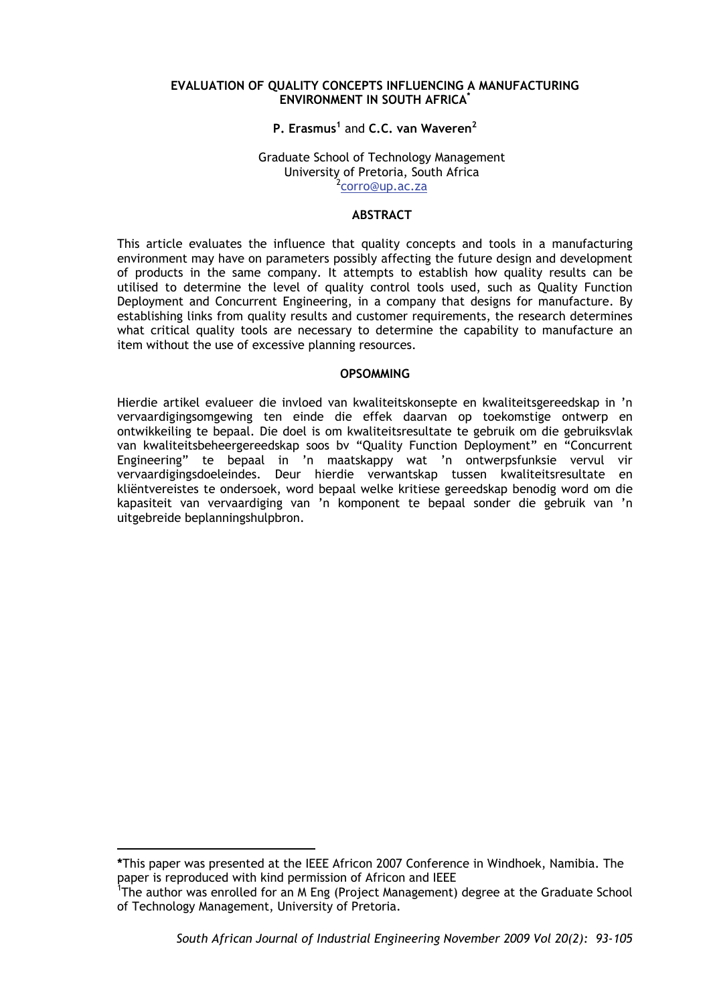#### **EVALUATION OF QUALITY CONCEPTS INFLUENCING A MANUFACTURING ENVIRONMENT IN SOUTH AFRICA\***

# **P. Erasmus1** and **C.C. van Waveren<sup>2</sup>**

#### Graduate School of Technology Management University of Pretoria, South Africa 2 <sup>2</sup>corro@up.ac.za

# **ABSTRACT**

This article evaluates the influence that quality concepts and tools in a manufacturing environment may have on parameters possibly affecting the future design and development of products in the same company. It attempts to establish how quality results can be utilised to determine the level of quality control tools used, such as Quality Function Deployment and Concurrent Engineering, in a company that designs for manufacture. By establishing links from quality results and customer requirements, the research determines what critical quality tools are necessary to determine the capability to manufacture an item without the use of excessive planning resources.

#### **OPSOMMING**

Hierdie artikel evalueer die invloed van kwaliteitskonsepte en kwaliteitsgereedskap in 'n vervaardigingsomgewing ten einde die effek daarvan op toekomstige ontwerp en ontwikkeiling te bepaal. Die doel is om kwaliteitsresultate te gebruik om die gebruiksvlak van kwaliteitsbeheergereedskap soos bv "Quality Function Deployment" en "Concurrent Engineering" te bepaal in 'n maatskappy wat 'n ontwerpsfunksie vervul vir vervaardigingsdoeleindes. Deur hierdie verwantskap tussen kwaliteitsresultate en kliëntvereistes te ondersoek, word bepaal welke kritiese gereedskap benodig word om die kapasiteit van vervaardiging van 'n komponent te bepaal sonder die gebruik van 'n uitgebreide beplanningshulpbron.

1

**<sup>\*</sup>**This paper was presented at the IEEE Africon 2007 Conference in Windhoek, Namibia. The paper is reproduced with kind permission of Africon and IEEE

<sup>&</sup>lt;sup>1</sup>The author was enrolled for an M Eng (Project Management) degree at the Graduate School of Technology Management, University of Pretoria.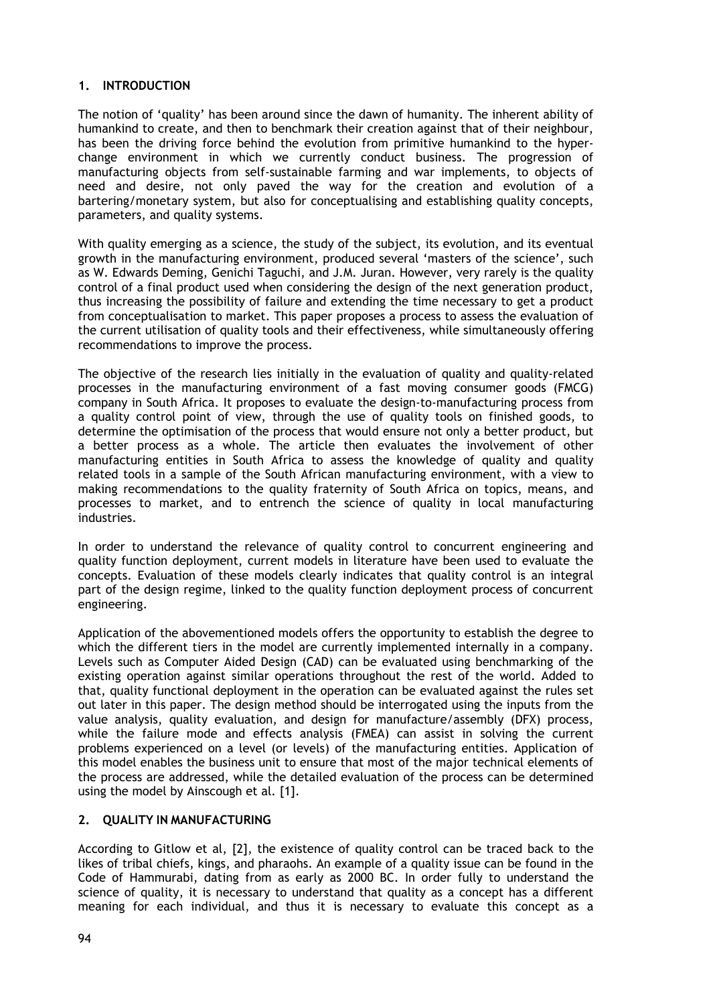# **1. INTRODUCTION**

The notion of 'quality' has been around since the dawn of humanity. The inherent ability of humankind to create, and then to benchmark their creation against that of their neighbour, has been the driving force behind the evolution from primitive humankind to the hyperchange environment in which we currently conduct business. The progression of manufacturing objects from self-sustainable farming and war implements, to objects of need and desire, not only paved the way for the creation and evolution of a bartering/monetary system, but also for conceptualising and establishing quality concepts, parameters, and quality systems.

With quality emerging as a science, the study of the subject, its evolution, and its eventual growth in the manufacturing environment, produced several 'masters of the science', such as W. Edwards Deming, Genichi Taguchi, and J.M. Juran. However, very rarely is the quality control of a final product used when considering the design of the next generation product, thus increasing the possibility of failure and extending the time necessary to get a product from conceptualisation to market. This paper proposes a process to assess the evaluation of the current utilisation of quality tools and their effectiveness, while simultaneously offering recommendations to improve the process.

The objective of the research lies initially in the evaluation of quality and quality-related processes in the manufacturing environment of a fast moving consumer goods (FMCG) company in South Africa. It proposes to evaluate the design-to-manufacturing process from a quality control point of view, through the use of quality tools on finished goods, to determine the optimisation of the process that would ensure not only a better product, but a better process as a whole. The article then evaluates the involvement of other manufacturing entities in South Africa to assess the knowledge of quality and quality related tools in a sample of the South African manufacturing environment, with a view to making recommendations to the quality fraternity of South Africa on topics, means, and processes to market, and to entrench the science of quality in local manufacturing industries.

In order to understand the relevance of quality control to concurrent engineering and quality function deployment, current models in literature have been used to evaluate the concepts. Evaluation of these models clearly indicates that quality control is an integral part of the design regime, linked to the quality function deployment process of concurrent engineering.

Application of the abovementioned models offers the opportunity to establish the degree to which the different tiers in the model are currently implemented internally in a company. Levels such as Computer Aided Design (CAD) can be evaluated using benchmarking of the existing operation against similar operations throughout the rest of the world. Added to that, quality functional deployment in the operation can be evaluated against the rules set out later in this paper. The design method should be interrogated using the inputs from the value analysis, quality evaluation, and design for manufacture/assembly (DFX) process, while the failure mode and effects analysis (FMEA) can assist in solving the current problems experienced on a level (or levels) of the manufacturing entities. Application of this model enables the business unit to ensure that most of the major technical elements of the process are addressed, while the detailed evaluation of the process can be determined using the model by Ainscough et al. [1].

# **2. QUALITY IN MANUFACTURING**

According to Gitlow et al, [2], the existence of quality control can be traced back to the likes of tribal chiefs, kings, and pharaohs. An example of a quality issue can be found in the Code of Hammurabi, dating from as early as 2000 BC. In order fully to understand the science of quality, it is necessary to understand that quality as a concept has a different meaning for each individual, and thus it is necessary to evaluate this concept as a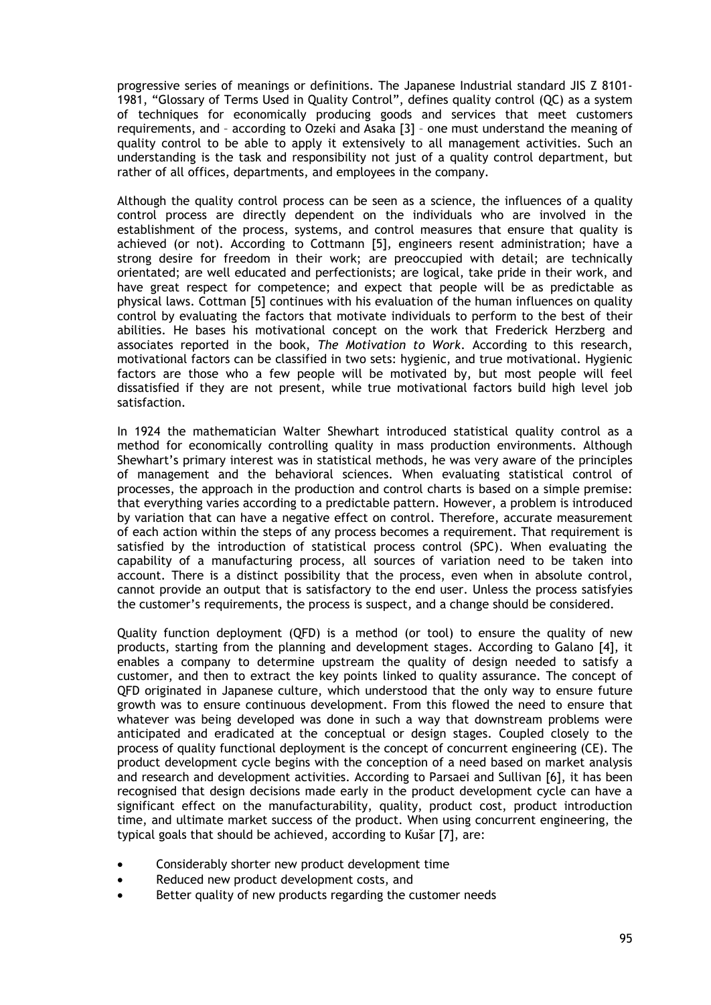progressive series of meanings or definitions. The Japanese Industrial standard JIS Z 8101- 1981, "Glossary of Terms Used in Quality Control", defines quality control (QC) as a system of techniques for economically producing goods and services that meet customers requirements, and – according to Ozeki and Asaka [3] – one must understand the meaning of quality control to be able to apply it extensively to all management activities. Such an understanding is the task and responsibility not just of a quality control department, but rather of all offices, departments, and employees in the company.

Although the quality control process can be seen as a science, the influences of a quality control process are directly dependent on the individuals who are involved in the establishment of the process, systems, and control measures that ensure that quality is achieved (or not). According to Cottmann [5], engineers resent administration; have a strong desire for freedom in their work; are preoccupied with detail; are technically orientated; are well educated and perfectionists; are logical, take pride in their work, and have great respect for competence; and expect that people will be as predictable as physical laws. Cottman [5] continues with his evaluation of the human influences on quality control by evaluating the factors that motivate individuals to perform to the best of their abilities. He bases his motivational concept on the work that Frederick Herzberg and associates reported in the book, *The Motivation to Work*. According to this research, motivational factors can be classified in two sets: hygienic, and true motivational. Hygienic factors are those who a few people will be motivated by, but most people will feel dissatisfied if they are not present, while true motivational factors build high level job satisfaction.

In 1924 the mathematician Walter Shewhart introduced statistical quality control as a method for economically controlling quality in mass production environments. Although Shewhart's primary interest was in statistical methods, he was very aware of the principles of management and the behavioral sciences. When evaluating statistical control of processes, the approach in the production and control charts is based on a simple premise: that everything varies according to a predictable pattern. However, a problem is introduced by variation that can have a negative effect on control. Therefore, accurate measurement of each action within the steps of any process becomes a requirement. That requirement is satisfied by the introduction of statistical process control (SPC). When evaluating the capability of a manufacturing process, all sources of variation need to be taken into account. There is a distinct possibility that the process, even when in absolute control, cannot provide an output that is satisfactory to the end user. Unless the process satisfyies the customer's requirements, the process is suspect, and a change should be considered.

Quality function deployment (QFD) is a method (or tool) to ensure the quality of new products, starting from the planning and development stages. According to Galano [4], it enables a company to determine upstream the quality of design needed to satisfy a customer, and then to extract the key points linked to quality assurance. The concept of QFD originated in Japanese culture, which understood that the only way to ensure future growth was to ensure continuous development. From this flowed the need to ensure that whatever was being developed was done in such a way that downstream problems were anticipated and eradicated at the conceptual or design stages. Coupled closely to the process of quality functional deployment is the concept of concurrent engineering (CE). The product development cycle begins with the conception of a need based on market analysis and research and development activities. According to Parsaei and Sullivan [6], it has been recognised that design decisions made early in the product development cycle can have a significant effect on the manufacturability, quality, product cost, product introduction time, and ultimate market success of the product. When using concurrent engineering, the typical goals that should be achieved, according to Kušar [7], are:

- Considerably shorter new product development time
- Reduced new product development costs, and
- Better quality of new products regarding the customer needs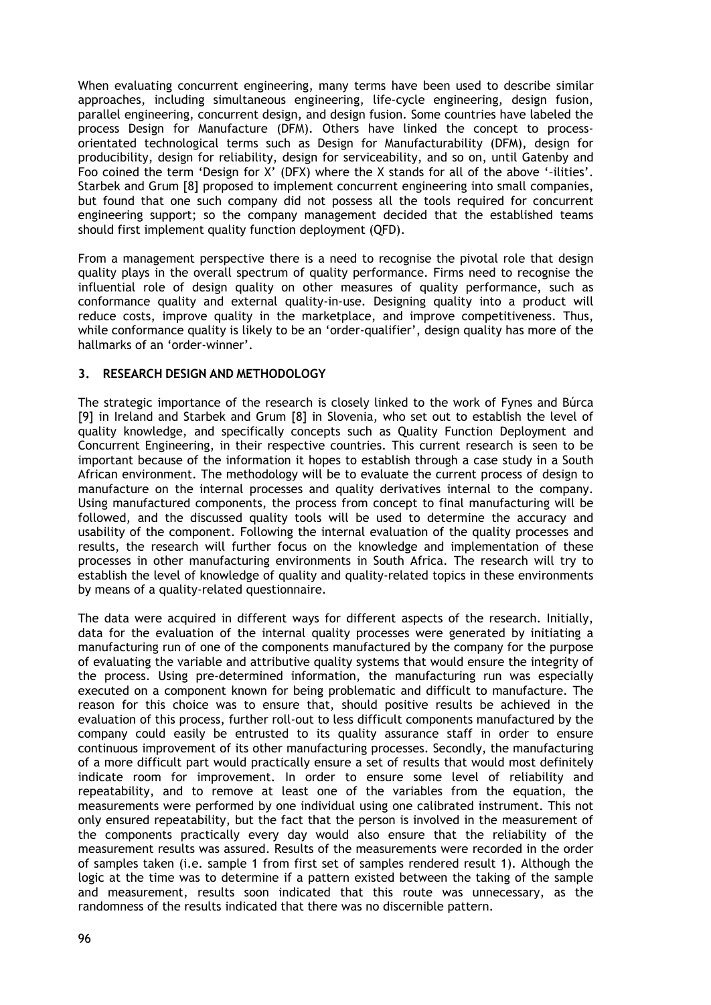When evaluating concurrent engineering, many terms have been used to describe similar approaches, including simultaneous engineering, life-cycle engineering, design fusion, parallel engineering, concurrent design, and design fusion. Some countries have labeled the process Design for Manufacture (DFM). Others have linked the concept to processorientated technological terms such as Design for Manufacturability (DFM), design for producibility, design for reliability, design for serviceability, and so on, until Gatenby and Foo coined the term 'Design for X' (DFX) where the X stands for all of the above '–ilities'. Starbek and Grum [8] proposed to implement concurrent engineering into small companies, but found that one such company did not possess all the tools required for concurrent engineering support; so the company management decided that the established teams should first implement quality function deployment (QFD).

From a management perspective there is a need to recognise the pivotal role that design quality plays in the overall spectrum of quality performance. Firms need to recognise the influential role of design quality on other measures of quality performance, such as conformance quality and external quality-in-use. Designing quality into a product will reduce costs, improve quality in the marketplace, and improve competitiveness. Thus, while conformance quality is likely to be an 'order-qualifier', design quality has more of the hallmarks of an 'order-winner'.

# **3. RESEARCH DESIGN AND METHODOLOGY**

The strategic importance of the research is closely linked to the work of Fynes and Búrca [9] in Ireland and Starbek and Grum [8] in Slovenia, who set out to establish the level of quality knowledge, and specifically concepts such as Quality Function Deployment and Concurrent Engineering, in their respective countries. This current research is seen to be important because of the information it hopes to establish through a case study in a South African environment. The methodology will be to evaluate the current process of design to manufacture on the internal processes and quality derivatives internal to the company. Using manufactured components, the process from concept to final manufacturing will be followed, and the discussed quality tools will be used to determine the accuracy and usability of the component. Following the internal evaluation of the quality processes and results, the research will further focus on the knowledge and implementation of these processes in other manufacturing environments in South Africa. The research will try to establish the level of knowledge of quality and quality-related topics in these environments by means of a quality-related questionnaire.

The data were acquired in different ways for different aspects of the research. Initially, data for the evaluation of the internal quality processes were generated by initiating a manufacturing run of one of the components manufactured by the company for the purpose of evaluating the variable and attributive quality systems that would ensure the integrity of the process. Using pre-determined information, the manufacturing run was especially executed on a component known for being problematic and difficult to manufacture. The reason for this choice was to ensure that, should positive results be achieved in the evaluation of this process, further roll-out to less difficult components manufactured by the company could easily be entrusted to its quality assurance staff in order to ensure continuous improvement of its other manufacturing processes. Secondly, the manufacturing of a more difficult part would practically ensure a set of results that would most definitely indicate room for improvement. In order to ensure some level of reliability and repeatability, and to remove at least one of the variables from the equation, the measurements were performed by one individual using one calibrated instrument. This not only ensured repeatability, but the fact that the person is involved in the measurement of the components practically every day would also ensure that the reliability of the measurement results was assured. Results of the measurements were recorded in the order of samples taken (i.e. sample 1 from first set of samples rendered result 1). Although the logic at the time was to determine if a pattern existed between the taking of the sample and measurement, results soon indicated that this route was unnecessary, as the randomness of the results indicated that there was no discernible pattern.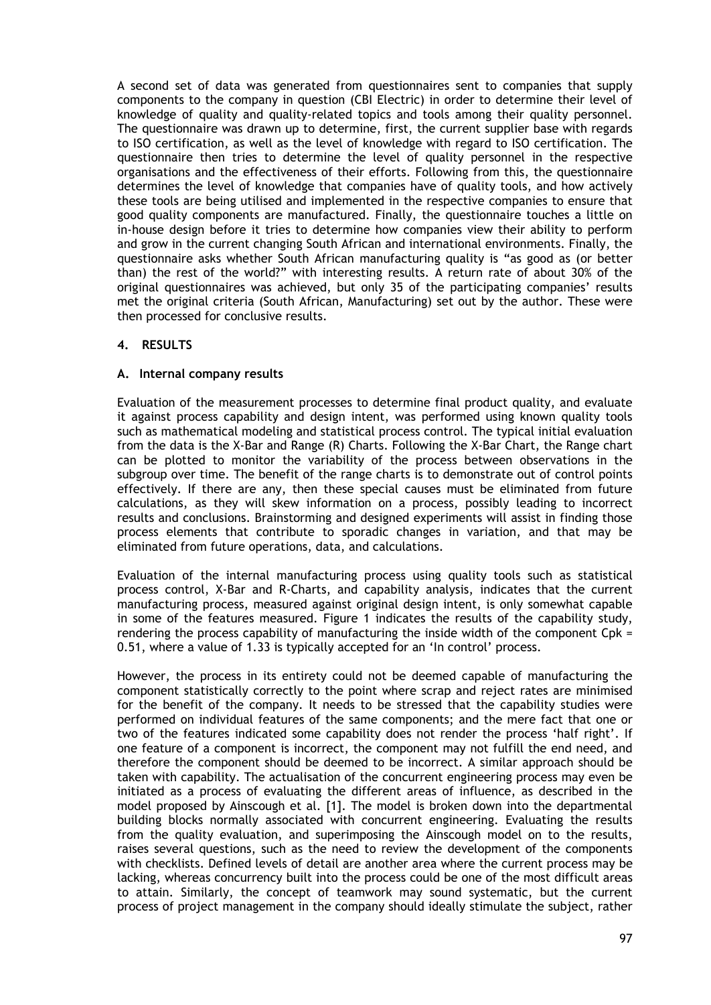A second set of data was generated from questionnaires sent to companies that supply components to the company in question (CBI Electric) in order to determine their level of knowledge of quality and quality-related topics and tools among their quality personnel. The questionnaire was drawn up to determine, first, the current supplier base with regards to ISO certification, as well as the level of knowledge with regard to ISO certification. The questionnaire then tries to determine the level of quality personnel in the respective organisations and the effectiveness of their efforts. Following from this, the questionnaire determines the level of knowledge that companies have of quality tools, and how actively these tools are being utilised and implemented in the respective companies to ensure that good quality components are manufactured. Finally, the questionnaire touches a little on in-house design before it tries to determine how companies view their ability to perform and grow in the current changing South African and international environments. Finally, the questionnaire asks whether South African manufacturing quality is "as good as (or better than) the rest of the world?" with interesting results. A return rate of about 30% of the original questionnaires was achieved, but only 35 of the participating companies' results met the original criteria (South African, Manufacturing) set out by the author. These were then processed for conclusive results.

# **4. RESULTS**

# **A. Internal company results**

Evaluation of the measurement processes to determine final product quality, and evaluate it against process capability and design intent, was performed using known quality tools such as mathematical modeling and statistical process control. The typical initial evaluation from the data is the X-Bar and Range (R) Charts. Following the X-Bar Chart, the Range chart can be plotted to monitor the variability of the process between observations in the subgroup over time. The benefit of the range charts is to demonstrate out of control points effectively. If there are any, then these special causes must be eliminated from future calculations, as they will skew information on a process, possibly leading to incorrect results and conclusions. Brainstorming and designed experiments will assist in finding those process elements that contribute to sporadic changes in variation, and that may be eliminated from future operations, data, and calculations.

Evaluation of the internal manufacturing process using quality tools such as statistical process control, X-Bar and R-Charts, and capability analysis, indicates that the current manufacturing process, measured against original design intent, is only somewhat capable in some of the features measured. Figure 1 indicates the results of the capability study, rendering the process capability of manufacturing the inside width of the component  $C$ pk = 0.51, where a value of 1.33 is typically accepted for an 'In control' process.

However, the process in its entirety could not be deemed capable of manufacturing the component statistically correctly to the point where scrap and reject rates are minimised for the benefit of the company. It needs to be stressed that the capability studies were performed on individual features of the same components; and the mere fact that one or two of the features indicated some capability does not render the process 'half right'. If one feature of a component is incorrect, the component may not fulfill the end need, and therefore the component should be deemed to be incorrect. A similar approach should be taken with capability. The actualisation of the concurrent engineering process may even be initiated as a process of evaluating the different areas of influence, as described in the model proposed by Ainscough et al. [1]. The model is broken down into the departmental building blocks normally associated with concurrent engineering. Evaluating the results from the quality evaluation, and superimposing the Ainscough model on to the results, raises several questions, such as the need to review the development of the components with checklists. Defined levels of detail are another area where the current process may be lacking, whereas concurrency built into the process could be one of the most difficult areas to attain. Similarly, the concept of teamwork may sound systematic, but the current process of project management in the company should ideally stimulate the subject, rather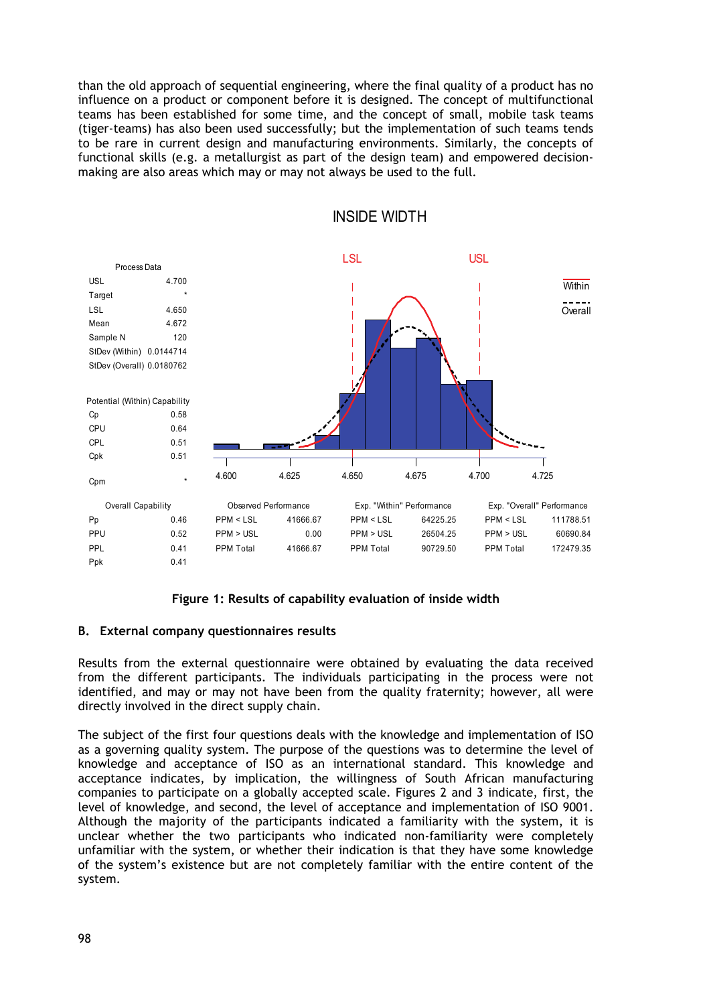than the old approach of sequential engineering, where the final quality of a product has no influence on a product or component before it is designed. The concept of multifunctional teams has been established for some time, and the concept of small, mobile task teams (tiger-teams) has also been used successfully; but the implementation of such teams tends to be rare in current design and manufacturing environments. Similarly, the concepts of functional skills (e.g. a metallurgist as part of the design team) and empowered decisionmaking are also areas which may or may not always be used to the full.



INSIDE WIDTH

# **Figure 1: Results of capability evaluation of inside width**

# **B. External company questionnaires results**

Results from the external questionnaire were obtained by evaluating the data received from the different participants. The individuals participating in the process were not identified, and may or may not have been from the quality fraternity; however, all were directly involved in the direct supply chain.

The subject of the first four questions deals with the knowledge and implementation of ISO as a governing quality system. The purpose of the questions was to determine the level of knowledge and acceptance of ISO as an international standard. This knowledge and acceptance indicates, by implication, the willingness of South African manufacturing companies to participate on a globally accepted scale. Figures 2 and 3 indicate, first, the level of knowledge, and second, the level of acceptance and implementation of ISO 9001. Although the majority of the participants indicated a familiarity with the system, it is unclear whether the two participants who indicated non-familiarity were completely unfamiliar with the system, or whether their indication is that they have some knowledge of the system's existence but are not completely familiar with the entire content of the system.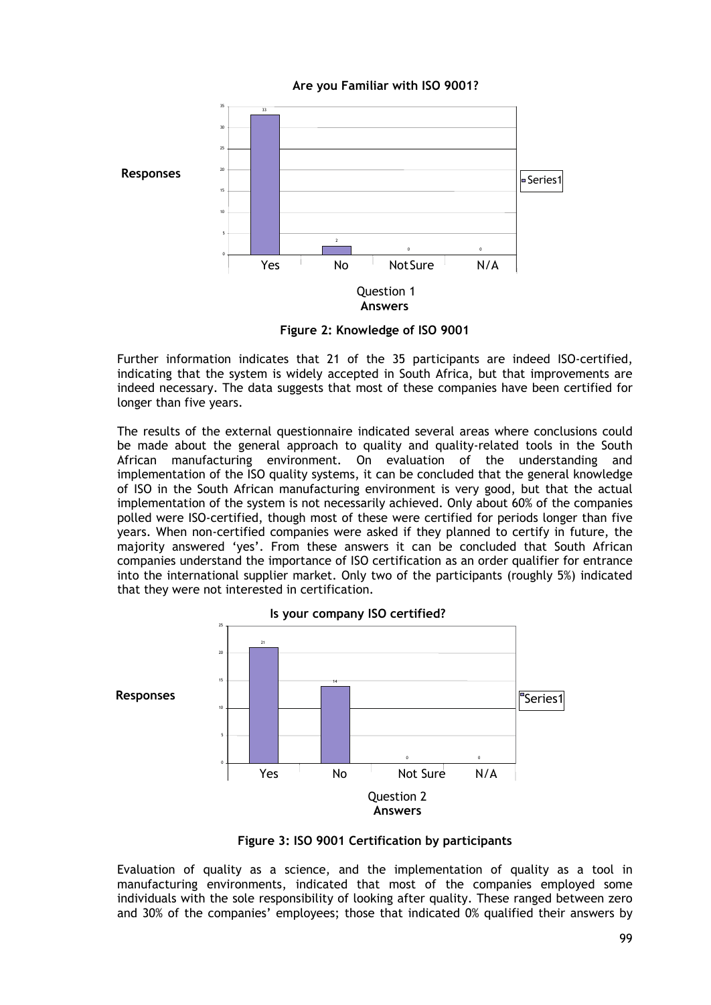**Are you Familiar with ISO 9001?**



**Figure 2: Knowledge of ISO 9001** 

Further information indicates that 21 of the 35 participants are indeed ISO-certified, indicating that the system is widely accepted in South Africa, but that improvements are indeed necessary. The data suggests that most of these companies have been certified for longer than five years.

The results of the external questionnaire indicated several areas where conclusions could be made about the general approach to quality and quality-related tools in the South African manufacturing environment. On evaluation of the understanding and implementation of the ISO quality systems, it can be concluded that the general knowledge of ISO in the South African manufacturing environment is very good, but that the actual implementation of the system is not necessarily achieved. Only about 60% of the companies polled were ISO-certified, though most of these were certified for periods longer than five years. When non-certified companies were asked if they planned to certify in future, the majority answered 'yes'. From these answers it can be concluded that South African companies understand the importance of ISO certification as an order qualifier for entrance into the international supplier market. Only two of the participants (roughly 5%) indicated that they were not interested in certification.



**Figure 3: ISO 9001 Certification by participants** 

Evaluation of quality as a science, and the implementation of quality as a tool in manufacturing environments, indicated that most of the companies employed some individuals with the sole responsibility of looking after quality. These ranged between zero and 30% of the companies' employees; those that indicated 0% qualified their answers by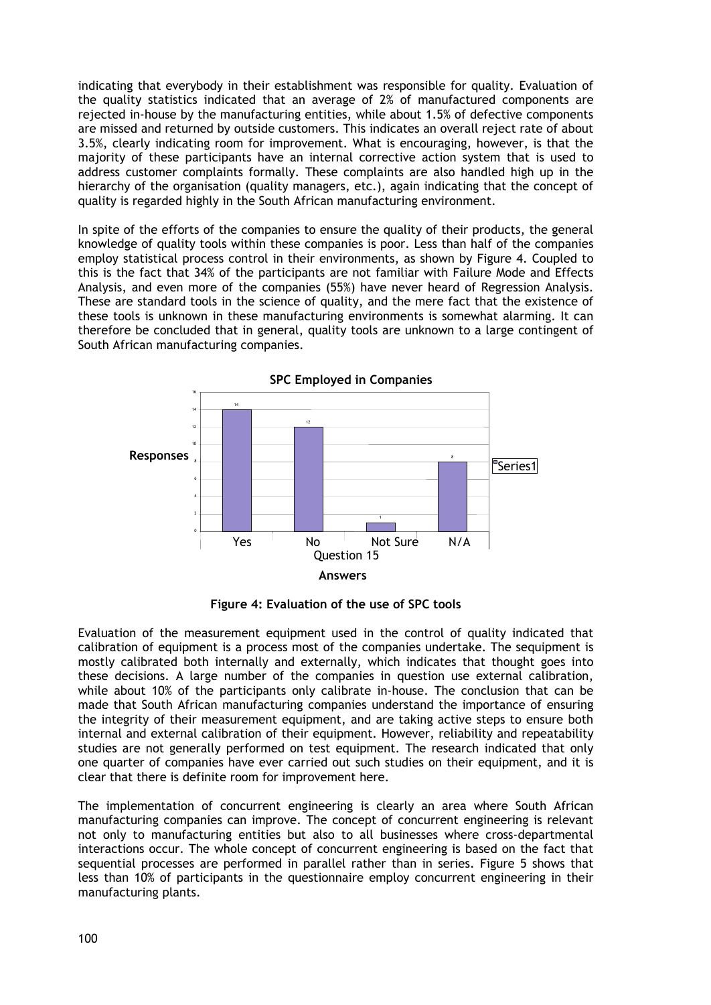indicating that everybody in their establishment was responsible for quality. Evaluation of the quality statistics indicated that an average of 2% of manufactured components are rejected in-house by the manufacturing entities, while about 1.5% of defective components are missed and returned by outside customers. This indicates an overall reject rate of about 3.5%, clearly indicating room for improvement. What is encouraging, however, is that the majority of these participants have an internal corrective action system that is used to address customer complaints formally. These complaints are also handled high up in the hierarchy of the organisation (quality managers, etc.), again indicating that the concept of quality is regarded highly in the South African manufacturing environment.

In spite of the efforts of the companies to ensure the quality of their products, the general knowledge of quality tools within these companies is poor. Less than half of the companies employ statistical process control in their environments, as shown by Figure 4. Coupled to this is the fact that 34% of the participants are not familiar with Failure Mode and Effects Analysis, and even more of the companies (55%) have never heard of Regression Analysis. These are standard tools in the science of quality, and the mere fact that the existence of these tools is unknown in these manufacturing environments is somewhat alarming. It can therefore be concluded that in general, quality tools are unknown to a large contingent of South African manufacturing companies.



**Figure 4: Evaluation of the use of SPC tools** 

Evaluation of the measurement equipment used in the control of quality indicated that calibration of equipment is a process most of the companies undertake. The sequipment is mostly calibrated both internally and externally, which indicates that thought goes into these decisions. A large number of the companies in question use external calibration, while about 10% of the participants only calibrate in-house. The conclusion that can be made that South African manufacturing companies understand the importance of ensuring the integrity of their measurement equipment, and are taking active steps to ensure both internal and external calibration of their equipment. However, reliability and repeatability studies are not generally performed on test equipment. The research indicated that only one quarter of companies have ever carried out such studies on their equipment, and it is clear that there is definite room for improvement here.

The implementation of concurrent engineering is clearly an area where South African manufacturing companies can improve. The concept of concurrent engineering is relevant not only to manufacturing entities but also to all businesses where cross-departmental interactions occur. The whole concept of concurrent engineering is based on the fact that sequential processes are performed in parallel rather than in series. Figure 5 shows that less than 10% of participants in the questionnaire employ concurrent engineering in their manufacturing plants.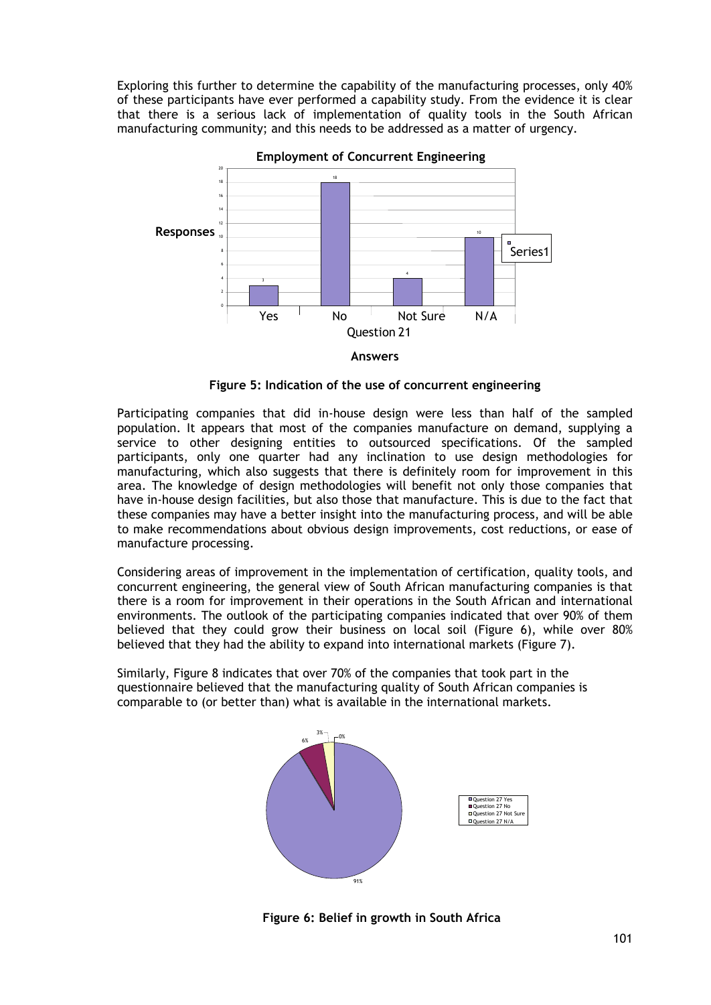Exploring this further to determine the capability of the manufacturing processes, only 40% of these participants have ever performed a capability study. From the evidence it is clear that there is a serious lack of implementation of quality tools in the South African manufacturing community; and this needs to be addressed as a matter of urgency.



**Employment of Concurrent Engineering**



Participating companies that did in-house design were less than half of the sampled population. It appears that most of the companies manufacture on demand, supplying a service to other designing entities to outsourced specifications. Of the sampled participants, only one quarter had any inclination to use design methodologies for manufacturing, which also suggests that there is definitely room for improvement in this area. The knowledge of design methodologies will benefit not only those companies that have in-house design facilities, but also those that manufacture. This is due to the fact that these companies may have a better insight into the manufacturing process, and will be able to make recommendations about obvious design improvements, cost reductions, or ease of manufacture processing.

Considering areas of improvement in the implementation of certification, quality tools, and concurrent engineering, the general view of South African manufacturing companies is that there is a room for improvement in their operations in the South African and international environments. The outlook of the participating companies indicated that over 90% of them believed that they could grow their business on local soil (Figure 6), while over 80% believed that they had the ability to expand into international markets (Figure 7).

Similarly, Figure 8 indicates that over 70% of the companies that took part in the questionnaire believed that the manufacturing quality of South African companies is comparable to (or better than) what is available in the international markets.



**Figure 6: Belief in growth in South Africa**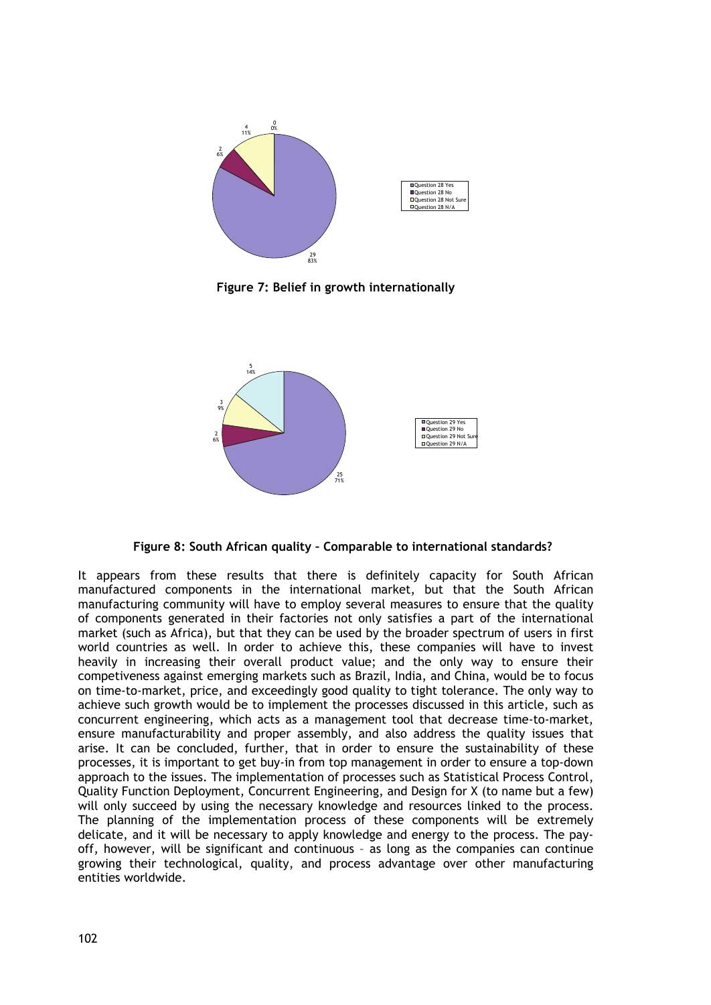

**Figure 7: Belief in growth internationally** 



**Figure 8: South African quality – Comparable to international standards?** 

It appears from these results that there is definitely capacity for South African manufactured components in the international market, but that the South African manufacturing community will have to employ several measures to ensure that the quality of components generated in their factories not only satisfies a part of the international market (such as Africa), but that they can be used by the broader spectrum of users in first world countries as well. In order to achieve this, these companies will have to invest heavily in increasing their overall product value; and the only way to ensure their competiveness against emerging markets such as Brazil, India, and China, would be to focus on time-to-market, price, and exceedingly good quality to tight tolerance. The only way to achieve such growth would be to implement the processes discussed in this article, such as concurrent engineering, which acts as a management tool that decrease time-to-market, ensure manufacturability and proper assembly, and also address the quality issues that arise. It can be concluded, further, that in order to ensure the sustainability of these processes, it is important to get buy-in from top management in order to ensure a top-down approach to the issues. The implementation of processes such as Statistical Process Control, Quality Function Deployment, Concurrent Engineering, and Design for X (to name but a few) will only succeed by using the necessary knowledge and resources linked to the process. The planning of the implementation process of these components will be extremely delicate, and it will be necessary to apply knowledge and energy to the process. The payoff, however, will be significant and continuous – as long as the companies can continue growing their technological, quality, and process advantage over other manufacturing entities worldwide.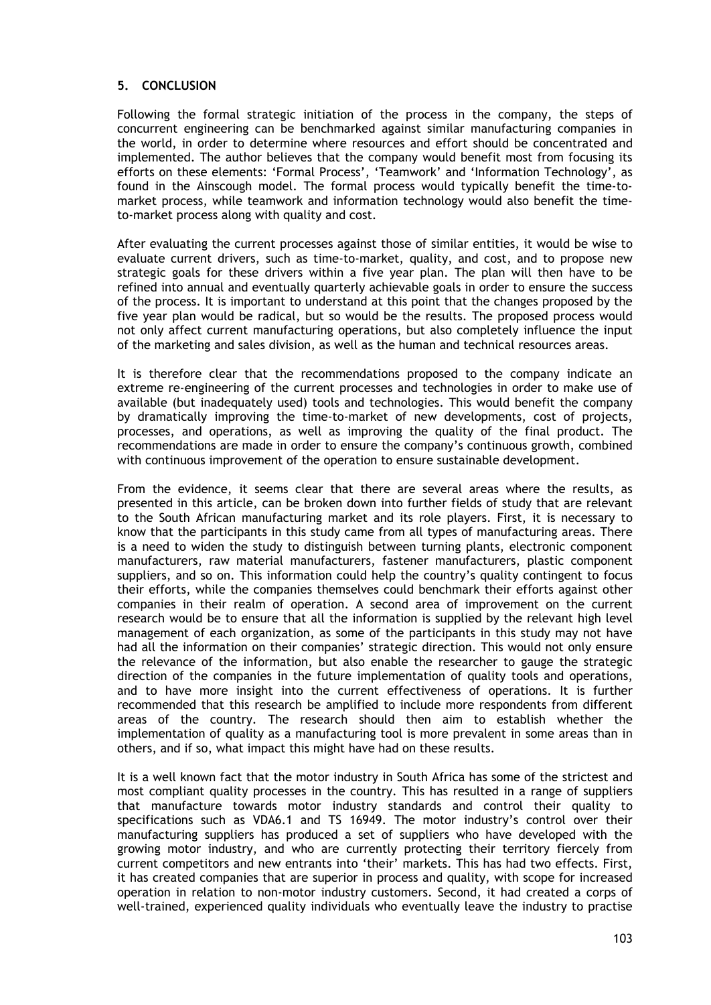# **5. CONCLUSION**

Following the formal strategic initiation of the process in the company, the steps of concurrent engineering can be benchmarked against similar manufacturing companies in the world, in order to determine where resources and effort should be concentrated and implemented. The author believes that the company would benefit most from focusing its efforts on these elements: 'Formal Process', 'Teamwork' and 'Information Technology', as found in the Ainscough model. The formal process would typically benefit the time-tomarket process, while teamwork and information technology would also benefit the timeto-market process along with quality and cost.

After evaluating the current processes against those of similar entities, it would be wise to evaluate current drivers, such as time-to-market, quality, and cost, and to propose new strategic goals for these drivers within a five year plan. The plan will then have to be refined into annual and eventually quarterly achievable goals in order to ensure the success of the process. It is important to understand at this point that the changes proposed by the five year plan would be radical, but so would be the results. The proposed process would not only affect current manufacturing operations, but also completely influence the input of the marketing and sales division, as well as the human and technical resources areas.

It is therefore clear that the recommendations proposed to the company indicate an extreme re-engineering of the current processes and technologies in order to make use of available (but inadequately used) tools and technologies. This would benefit the company by dramatically improving the time-to-market of new developments, cost of projects, processes, and operations, as well as improving the quality of the final product. The recommendations are made in order to ensure the company's continuous growth, combined with continuous improvement of the operation to ensure sustainable development.

From the evidence, it seems clear that there are several areas where the results, as presented in this article, can be broken down into further fields of study that are relevant to the South African manufacturing market and its role players. First, it is necessary to know that the participants in this study came from all types of manufacturing areas. There is a need to widen the study to distinguish between turning plants, electronic component manufacturers, raw material manufacturers, fastener manufacturers, plastic component suppliers, and so on. This information could help the country's quality contingent to focus their efforts, while the companies themselves could benchmark their efforts against other companies in their realm of operation. A second area of improvement on the current research would be to ensure that all the information is supplied by the relevant high level management of each organization, as some of the participants in this study may not have had all the information on their companies' strategic direction. This would not only ensure the relevance of the information, but also enable the researcher to gauge the strategic direction of the companies in the future implementation of quality tools and operations, and to have more insight into the current effectiveness of operations. It is further recommended that this research be amplified to include more respondents from different areas of the country. The research should then aim to establish whether the implementation of quality as a manufacturing tool is more prevalent in some areas than in others, and if so, what impact this might have had on these results.

It is a well known fact that the motor industry in South Africa has some of the strictest and most compliant quality processes in the country. This has resulted in a range of suppliers that manufacture towards motor industry standards and control their quality to specifications such as VDA6.1 and TS 16949. The motor industry's control over their manufacturing suppliers has produced a set of suppliers who have developed with the growing motor industry, and who are currently protecting their territory fiercely from current competitors and new entrants into 'their' markets. This has had two effects. First, it has created companies that are superior in process and quality, with scope for increased operation in relation to non-motor industry customers. Second, it had created a corps of well-trained, experienced quality individuals who eventually leave the industry to practise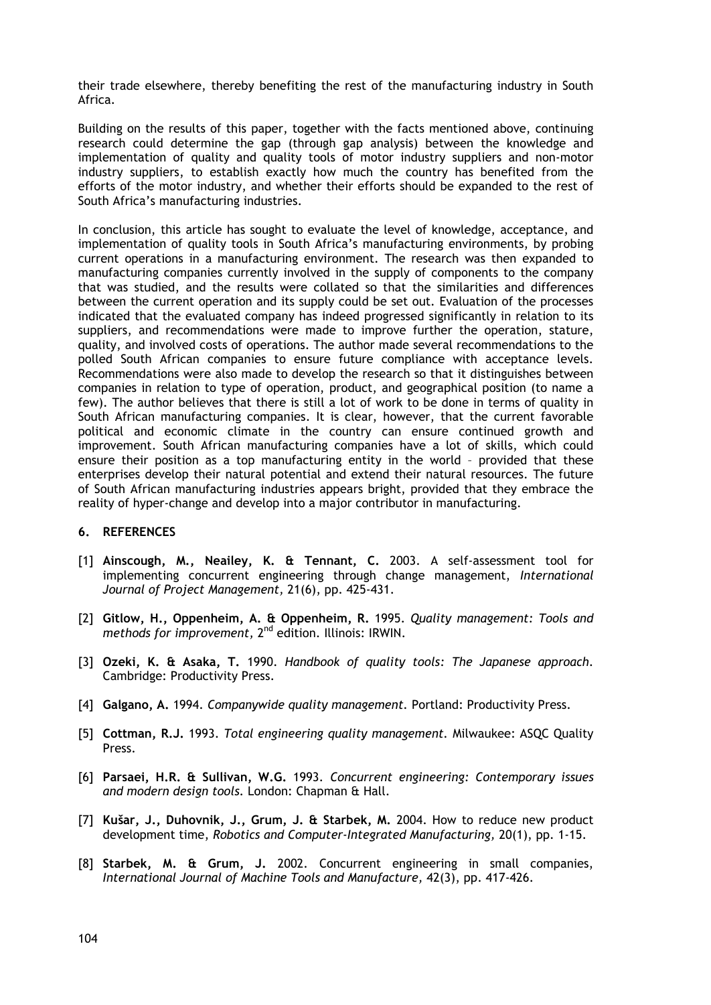their trade elsewhere, thereby benefiting the rest of the manufacturing industry in South Africa.

Building on the results of this paper, together with the facts mentioned above, continuing research could determine the gap (through gap analysis) between the knowledge and implementation of quality and quality tools of motor industry suppliers and non-motor industry suppliers, to establish exactly how much the country has benefited from the efforts of the motor industry, and whether their efforts should be expanded to the rest of South Africa's manufacturing industries.

In conclusion, this article has sought to evaluate the level of knowledge, acceptance, and implementation of quality tools in South Africa's manufacturing environments, by probing current operations in a manufacturing environment. The research was then expanded to manufacturing companies currently involved in the supply of components to the company that was studied, and the results were collated so that the similarities and differences between the current operation and its supply could be set out. Evaluation of the processes indicated that the evaluated company has indeed progressed significantly in relation to its suppliers, and recommendations were made to improve further the operation, stature, quality, and involved costs of operations. The author made several recommendations to the polled South African companies to ensure future compliance with acceptance levels. Recommendations were also made to develop the research so that it distinguishes between companies in relation to type of operation, product, and geographical position (to name a few). The author believes that there is still a lot of work to be done in terms of quality in South African manufacturing companies. It is clear, however, that the current favorable political and economic climate in the country can ensure continued growth and improvement. South African manufacturing companies have a lot of skills, which could ensure their position as a top manufacturing entity in the world – provided that these enterprises develop their natural potential and extend their natural resources. The future of South African manufacturing industries appears bright, provided that they embrace the reality of hyper-change and develop into a major contributor in manufacturing.

#### **6. REFERENCES**

- [1] **Ainscough, M., Neailey, K. & Tennant, C.** 2003. A self-assessment tool for implementing concurrent engineering through change management, *International Journal of Project Management,* 21(6), pp. 425-431.
- [2] **Gitlow, H., Oppenheim, A. & Oppenheim, R.** 1995. *Quality management: Tools and methods for improvement,* 2nd edition. Illinois: IRWIN.
- [3] **Ozeki, K. & Asaka, T.** 1990. *Handbook of quality tools: The Japanese approach.*  Cambridge: Productivity Press.
- [4] **Galgano, A.** 1994. *Companywide quality management.* Portland: Productivity Press.
- [5] **Cottman, R.J.** 1993. *Total engineering quality management.* Milwaukee: ASQC Quality Press.
- [6] **Parsaei, H.R. & Sullivan, W.G.** 1993. *Concurrent engineering: Contemporary issues and modern design tools.* London: Chapman & Hall.
- [7] **Kušar, J., Duhovnik, J., Grum, J. & Starbek, M.** 2004. How to reduce new product development time, *Robotics and Computer-Integrated Manufacturing,* 20(1), pp. 1-15.
- [8] **Starbek, M. & Grum, J.** 2002. Concurrent engineering in small companies, *International Journal of Machine Tools and Manufacture,* 42(3), pp. 417-426.